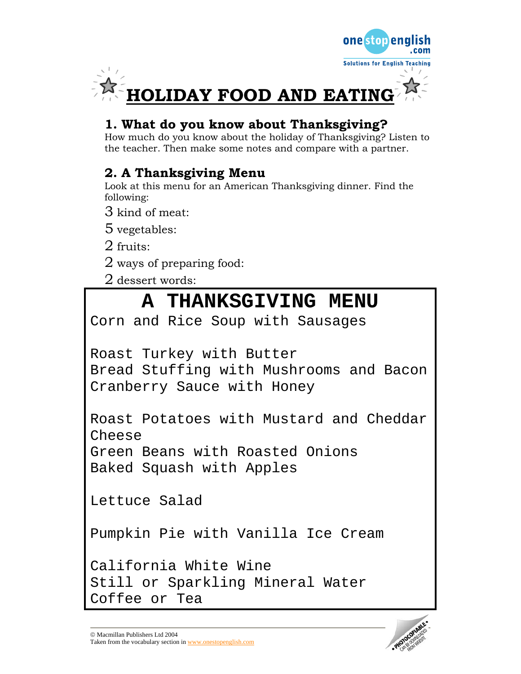

## **1. What do you know about Thanksgiving?**

How much do you know about the holiday of Thanksgiving? Listen to the teacher. Then make some notes and compare with a partner.

## **2. A Thanksgiving Menu**

Look at this menu for an American Thanksgiving dinner. Find the following:

3 kind of meat:

5 vegetables:

2 fruits:

2 ways of preparing food:

2 dessert words:

# **A THANKSGIVING MENU**

Corn and Rice Soup with Sausages

Roast Turkey with Butter

Bread Stuffing with Mushrooms and Bacon Cranberry Sauce with Honey

Roast Potatoes with Mustard and Cheddar Cheese

Green Beans with Roasted Onions Baked Squash with Apples

Lettuce Salad

Pumpkin Pie with Vanilla Ice Cream

California White Wine Still or Sparkling Mineral Water Coffee or Tea